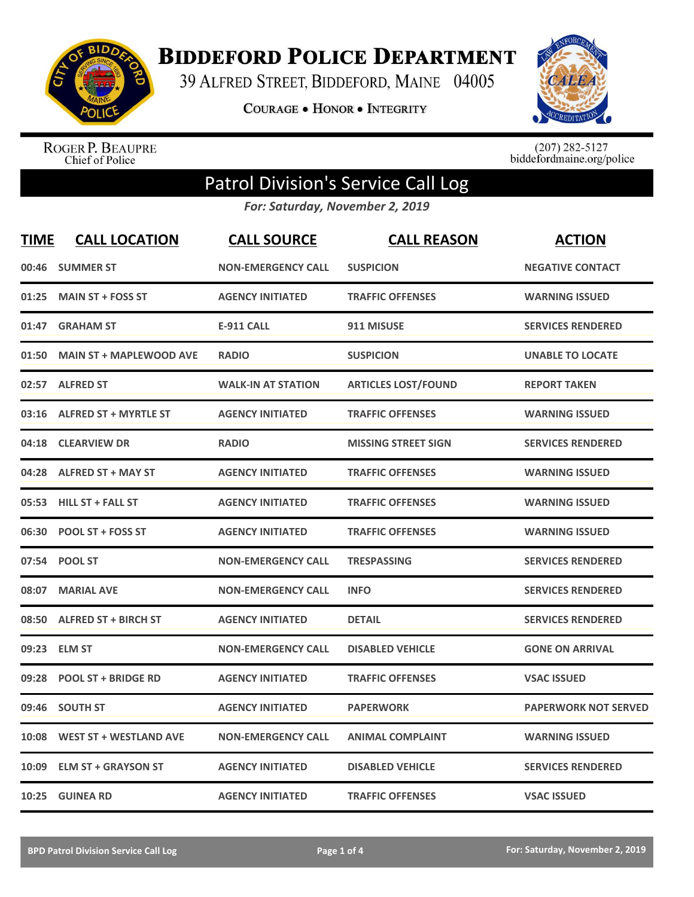

**BIDDEFORD POLICE DEPARTMENT** 

39 ALFRED STREET, BIDDEFORD, MAINE 04005

**COURAGE . HONOR . INTEGRITY** 



ROGER P. BEAUPRE<br>Chief of Police

 $(207)$  282-5127<br>biddefordmaine.org/police

## Patrol Division's Service Call Log

*For: Saturday, November 2, 2019*

| <b>TIME</b> | <b>CALL LOCATION</b>           | <b>CALL SOURCE</b>        | <b>CALL REASON</b>         | <b>ACTION</b>               |
|-------------|--------------------------------|---------------------------|----------------------------|-----------------------------|
| 00:46       | <b>SUMMER ST</b>               | <b>NON-EMERGENCY CALL</b> | <b>SUSPICION</b>           | <b>NEGATIVE CONTACT</b>     |
| 01:25       | <b>MAIN ST + FOSS ST</b>       | <b>AGENCY INITIATED</b>   | <b>TRAFFIC OFFENSES</b>    | <b>WARNING ISSUED</b>       |
| 01:47       | <b>GRAHAM ST</b>               | <b>E-911 CALL</b>         | 911 MISUSE                 | <b>SERVICES RENDERED</b>    |
| 01:50       | <b>MAIN ST + MAPLEWOOD AVE</b> | <b>RADIO</b>              | <b>SUSPICION</b>           | <b>UNABLE TO LOCATE</b>     |
|             | 02:57 ALFRED ST                | <b>WALK-IN AT STATION</b> | <b>ARTICLES LOST/FOUND</b> | <b>REPORT TAKEN</b>         |
| 03:16       | <b>ALFRED ST + MYRTLE ST</b>   | <b>AGENCY INITIATED</b>   | <b>TRAFFIC OFFENSES</b>    | <b>WARNING ISSUED</b>       |
| 04:18       | <b>CLEARVIEW DR</b>            | <b>RADIO</b>              | <b>MISSING STREET SIGN</b> | <b>SERVICES RENDERED</b>    |
| 04:28       | <b>ALFRED ST + MAY ST</b>      | <b>AGENCY INITIATED</b>   | <b>TRAFFIC OFFENSES</b>    | <b>WARNING ISSUED</b>       |
| 05:53       | <b>HILL ST + FALL ST</b>       | <b>AGENCY INITIATED</b>   | <b>TRAFFIC OFFENSES</b>    | <b>WARNING ISSUED</b>       |
| 06:30       | <b>POOL ST + FOSS ST</b>       | <b>AGENCY INITIATED</b>   | <b>TRAFFIC OFFENSES</b>    | <b>WARNING ISSUED</b>       |
| 07:54       | <b>POOL ST</b>                 | <b>NON-EMERGENCY CALL</b> | <b>TRESPASSING</b>         | <b>SERVICES RENDERED</b>    |
| 08:07       | <b>MARIAL AVE</b>              | <b>NON-EMERGENCY CALL</b> | <b>INFO</b>                | <b>SERVICES RENDERED</b>    |
| 08:50       | <b>ALFRED ST + BIRCH ST</b>    | <b>AGENCY INITIATED</b>   | <b>DETAIL</b>              | <b>SERVICES RENDERED</b>    |
| 09:23       | <b>ELM ST</b>                  | <b>NON-EMERGENCY CALL</b> | <b>DISABLED VEHICLE</b>    | <b>GONE ON ARRIVAL</b>      |
| 09:28       | <b>POOL ST + BRIDGE RD</b>     | <b>AGENCY INITIATED</b>   | <b>TRAFFIC OFFENSES</b>    | <b>VSAC ISSUED</b>          |
| 09:46       | <b>SOUTH ST</b>                | <b>AGENCY INITIATED</b>   | <b>PAPERWORK</b>           | <b>PAPERWORK NOT SERVED</b> |
| 10:08       | <b>WEST ST + WESTLAND AVE</b>  | <b>NON-EMERGENCY CALL</b> | <b>ANIMAL COMPLAINT</b>    | <b>WARNING ISSUED</b>       |
| 10:09       | <b>ELM ST + GRAYSON ST</b>     | <b>AGENCY INITIATED</b>   | <b>DISABLED VEHICLE</b>    | <b>SERVICES RENDERED</b>    |
| 10:25       | <b>GUINEA RD</b>               | <b>AGENCY INITIATED</b>   | <b>TRAFFIC OFFENSES</b>    | <b>VSAC ISSUED</b>          |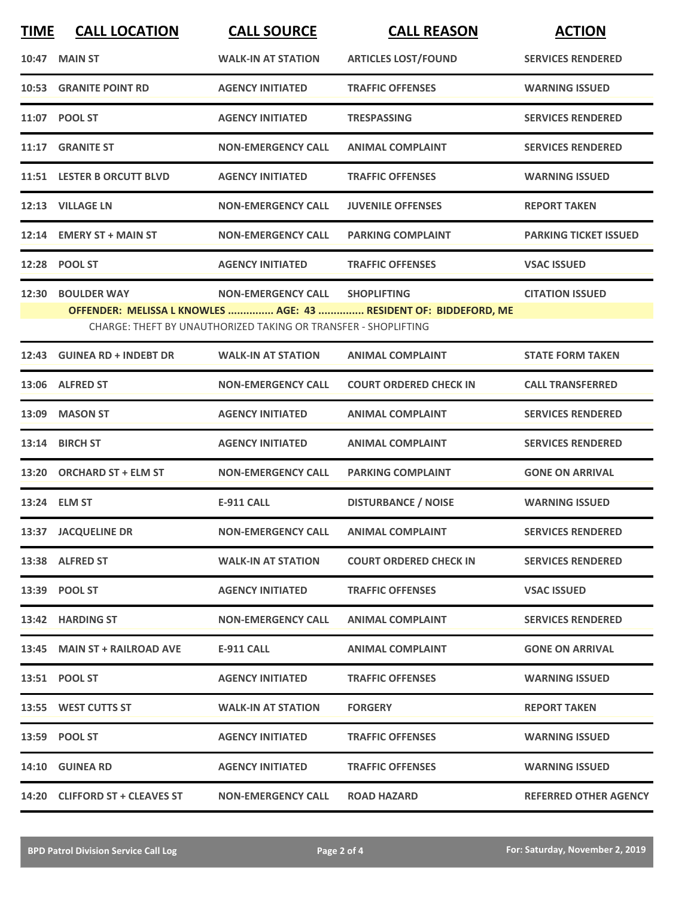| <b>TIME</b> | <b>CALL LOCATION</b>           | <b>CALL SOURCE</b>                                             | <b>CALL REASON</b>                                               | <b>ACTION</b>                |
|-------------|--------------------------------|----------------------------------------------------------------|------------------------------------------------------------------|------------------------------|
| 10:47       | <b>MAIN ST</b>                 | <b>WALK-IN AT STATION</b>                                      | <b>ARTICLES LOST/FOUND</b>                                       | <b>SERVICES RENDERED</b>     |
| 10:53       | <b>GRANITE POINT RD</b>        | <b>AGENCY INITIATED</b>                                        | <b>TRAFFIC OFFENSES</b>                                          | <b>WARNING ISSUED</b>        |
|             | 11:07 POOL ST                  | <b>AGENCY INITIATED</b>                                        | <b>TRESPASSING</b>                                               | <b>SERVICES RENDERED</b>     |
|             | 11:17 GRANITE ST               | <b>NON-EMERGENCY CALL</b>                                      | <b>ANIMAL COMPLAINT</b>                                          | <b>SERVICES RENDERED</b>     |
|             | 11:51 LESTER B ORCUTT BLVD     | <b>AGENCY INITIATED</b>                                        | <b>TRAFFIC OFFENSES</b>                                          | <b>WARNING ISSUED</b>        |
|             | 12:13 VILLAGE LN               | <b>NON-EMERGENCY CALL</b>                                      | <b>JUVENILE OFFENSES</b>                                         | <b>REPORT TAKEN</b>          |
|             | 12:14 EMERY ST + MAIN ST       | <b>NON-EMERGENCY CALL</b>                                      | <b>PARKING COMPLAINT</b>                                         | <b>PARKING TICKET ISSUED</b> |
| 12:28       | <b>POOL ST</b>                 | <b>AGENCY INITIATED</b>                                        | <b>TRAFFIC OFFENSES</b>                                          | <b>VSAC ISSUED</b>           |
| 12:30       | <b>BOULDER WAY</b>             | <b>NON-EMERGENCY CALL</b>                                      | <b>SHOPLIFTING</b>                                               | <b>CITATION ISSUED</b>       |
|             |                                | CHARGE: THEFT BY UNAUTHORIZED TAKING OR TRANSFER - SHOPLIFTING | OFFENDER: MELISSA L KNOWLES  AGE: 43  RESIDENT OF: BIDDEFORD, ME |                              |
| 12:43       | <b>GUINEA RD + INDEBT DR</b>   | <b>WALK-IN AT STATION</b>                                      | <b>ANIMAL COMPLAINT</b>                                          | <b>STATE FORM TAKEN</b>      |
|             | 13:06 ALFRED ST                | <b>NON-EMERGENCY CALL</b>                                      | <b>COURT ORDERED CHECK IN</b>                                    | <b>CALL TRANSFERRED</b>      |
| 13:09       | <b>MASON ST</b>                | <b>AGENCY INITIATED</b>                                        | <b>ANIMAL COMPLAINT</b>                                          | <b>SERVICES RENDERED</b>     |
| 13:14       | <b>BIRCH ST</b>                | <b>AGENCY INITIATED</b>                                        | <b>ANIMAL COMPLAINT</b>                                          | <b>SERVICES RENDERED</b>     |
|             | 13:20 ORCHARD ST + ELM ST      | <b>NON-EMERGENCY CALL</b>                                      | <b>PARKING COMPLAINT</b>                                         | <b>GONE ON ARRIVAL</b>       |
|             | 13:24 ELM ST                   | <b>E-911 CALL</b>                                              | <b>DISTURBANCE / NOISE</b>                                       | <b>WARNING ISSUED</b>        |
|             | 13:37 JACQUELINE DR            | <b>NON-EMERGENCY CALL</b>                                      | <b>ANIMAL COMPLAINT</b>                                          | <b>SERVICES RENDERED</b>     |
|             | 13:38 ALFRED ST                | <b>WALK-IN AT STATION</b>                                      | <b>COURT ORDERED CHECK IN</b>                                    | <b>SERVICES RENDERED</b>     |
|             | 13:39 POOL ST                  | <b>AGENCY INITIATED</b>                                        | <b>TRAFFIC OFFENSES</b>                                          | <b>VSAC ISSUED</b>           |
|             | 13:42 HARDING ST               | <b>NON-EMERGENCY CALL</b>                                      | <b>ANIMAL COMPLAINT</b>                                          | <b>SERVICES RENDERED</b>     |
|             | 13:45 MAIN ST + RAILROAD AVE   | E-911 CALL                                                     | <b>ANIMAL COMPLAINT</b>                                          | <b>GONE ON ARRIVAL</b>       |
|             | 13:51 POOL ST                  | <b>AGENCY INITIATED</b>                                        | <b>TRAFFIC OFFENSES</b>                                          | <b>WARNING ISSUED</b>        |
|             | 13:55 WEST CUTTS ST            | <b>WALK-IN AT STATION</b>                                      | <b>FORGERY</b>                                                   | <b>REPORT TAKEN</b>          |
|             | 13:59 POOL ST                  | <b>AGENCY INITIATED</b>                                        | <b>TRAFFIC OFFENSES</b>                                          | <b>WARNING ISSUED</b>        |
|             | 14:10 GUINEA RD                | <b>AGENCY INITIATED</b>                                        | <b>TRAFFIC OFFENSES</b>                                          | <b>WARNING ISSUED</b>        |
|             | 14:20 CLIFFORD ST + CLEAVES ST | <b>NON-EMERGENCY CALL</b>                                      | <b>ROAD HAZARD</b>                                               | <b>REFERRED OTHER AGENCY</b> |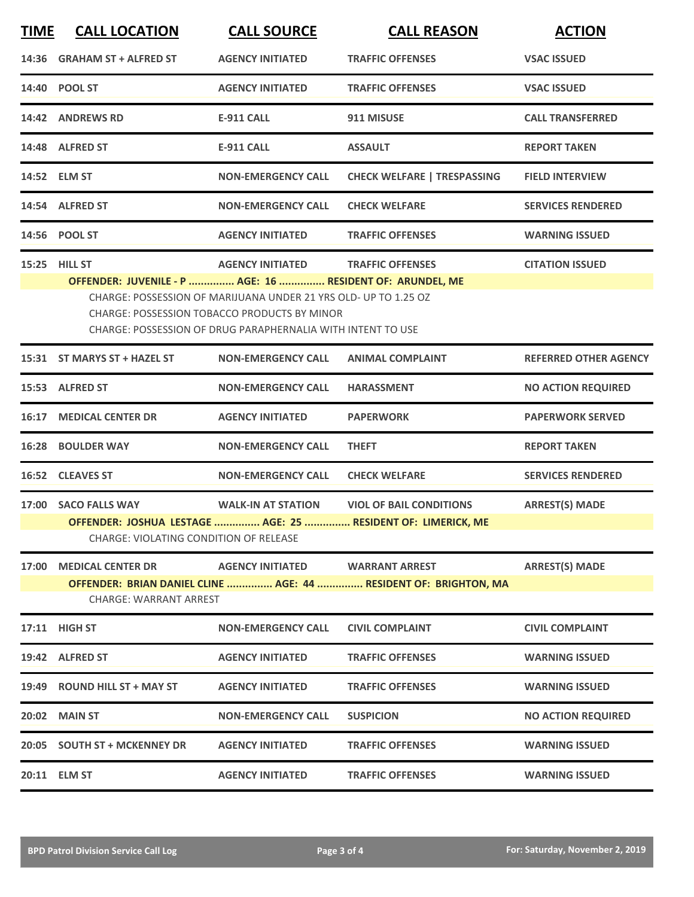| <b>TIME</b> | <b>CALL LOCATION</b>                                                                                                                                                                                                                                                                                                                                       | <b>CALL SOURCE</b>        | <b>CALL REASON</b>                                                                                         | <b>ACTION</b>                |  |
|-------------|------------------------------------------------------------------------------------------------------------------------------------------------------------------------------------------------------------------------------------------------------------------------------------------------------------------------------------------------------------|---------------------------|------------------------------------------------------------------------------------------------------------|------------------------------|--|
|             | 14:36 GRAHAM ST + ALFRED ST                                                                                                                                                                                                                                                                                                                                | <b>AGENCY INITIATED</b>   | <b>TRAFFIC OFFENSES</b>                                                                                    | <b>VSAC ISSUED</b>           |  |
|             | 14:40 POOL ST                                                                                                                                                                                                                                                                                                                                              | <b>AGENCY INITIATED</b>   | <b>TRAFFIC OFFENSES</b>                                                                                    | <b>VSAC ISSUED</b>           |  |
|             | 14:42 ANDREWS RD                                                                                                                                                                                                                                                                                                                                           | <b>E-911 CALL</b>         | 911 MISUSE                                                                                                 | <b>CALL TRANSFERRED</b>      |  |
|             | 14:48 ALFRED ST                                                                                                                                                                                                                                                                                                                                            | <b>E-911 CALL</b>         | <b>ASSAULT</b>                                                                                             | <b>REPORT TAKEN</b>          |  |
|             | 14:52 ELM ST                                                                                                                                                                                                                                                                                                                                               | <b>NON-EMERGENCY CALL</b> | <b>CHECK WELFARE   TRESPASSING</b>                                                                         | <b>FIELD INTERVIEW</b>       |  |
|             | 14:54 ALFRED ST                                                                                                                                                                                                                                                                                                                                            | <b>NON-EMERGENCY CALL</b> | <b>CHECK WELFARE</b>                                                                                       | <b>SERVICES RENDERED</b>     |  |
|             | 14:56 POOL ST                                                                                                                                                                                                                                                                                                                                              | <b>AGENCY INITIATED</b>   | <b>TRAFFIC OFFENSES</b>                                                                                    | <b>WARNING ISSUED</b>        |  |
|             | <b>15:25 HILL ST</b><br><b>AGENCY INITIATED</b><br><b>TRAFFIC OFFENSES</b><br><b>CITATION ISSUED</b><br>OFFENDER: JUVENILE - P  AGE: 16  RESIDENT OF: ARUNDEL, ME<br>CHARGE: POSSESSION OF MARIJUANA UNDER 21 YRS OLD- UP TO 1.25 OZ<br><b>CHARGE: POSSESSION TOBACCO PRODUCTS BY MINOR</b><br>CHARGE: POSSESSION OF DRUG PARAPHERNALIA WITH INTENT TO USE |                           |                                                                                                            |                              |  |
|             | 15:31 ST MARYS ST + HAZEL ST                                                                                                                                                                                                                                                                                                                               | <b>NON-EMERGENCY CALL</b> | <b>ANIMAL COMPLAINT</b>                                                                                    | <b>REFERRED OTHER AGENCY</b> |  |
|             | 15:53 ALFRED ST                                                                                                                                                                                                                                                                                                                                            | <b>NON-EMERGENCY CALL</b> | <b>HARASSMENT</b>                                                                                          | <b>NO ACTION REQUIRED</b>    |  |
| 16:17       | <b>MEDICAL CENTER DR</b>                                                                                                                                                                                                                                                                                                                                   | <b>AGENCY INITIATED</b>   | <b>PAPERWORK</b>                                                                                           | <b>PAPERWORK SERVED</b>      |  |
|             | <b>16:28 BOULDER WAY</b>                                                                                                                                                                                                                                                                                                                                   | <b>NON-EMERGENCY CALL</b> | <b>THEFT</b>                                                                                               | <b>REPORT TAKEN</b>          |  |
|             | 16:52 CLEAVES ST                                                                                                                                                                                                                                                                                                                                           | <b>NON-EMERGENCY CALL</b> | <b>CHECK WELFARE</b>                                                                                       | <b>SERVICES RENDERED</b>     |  |
|             | 17:00 SACO FALLS WAY<br><b>CHARGE: VIOLATING CONDITION OF RELEASE</b>                                                                                                                                                                                                                                                                                      |                           | WALK-IN AT STATION VIOL OF BAIL CONDITIONS<br>OFFENDER: JOSHUA LESTAGE  AGE: 25  RESIDENT OF: LIMERICK, ME | <b>ARREST(S) MADE</b>        |  |
| 17:00       | <b>MEDICAL CENTER DR</b><br><b>CHARGE: WARRANT ARREST</b>                                                                                                                                                                                                                                                                                                  | <b>AGENCY INITIATED</b>   | <b>WARRANT ARREST</b><br>OFFENDER: BRIAN DANIEL CLINE  AGE: 44  RESIDENT OF: BRIGHTON, MA                  | <b>ARREST(S) MADE</b>        |  |
|             | 17:11 HIGH ST                                                                                                                                                                                                                                                                                                                                              | <b>NON-EMERGENCY CALL</b> | <b>CIVIL COMPLAINT</b>                                                                                     | <b>CIVIL COMPLAINT</b>       |  |
|             | 19:42 ALFRED ST                                                                                                                                                                                                                                                                                                                                            | <b>AGENCY INITIATED</b>   | <b>TRAFFIC OFFENSES</b>                                                                                    | <b>WARNING ISSUED</b>        |  |
|             | 19:49 ROUND HILL ST + MAY ST                                                                                                                                                                                                                                                                                                                               | <b>AGENCY INITIATED</b>   | <b>TRAFFIC OFFENSES</b>                                                                                    | <b>WARNING ISSUED</b>        |  |
|             | <b>20:02 MAIN ST</b>                                                                                                                                                                                                                                                                                                                                       | <b>NON-EMERGENCY CALL</b> | <b>SUSPICION</b>                                                                                           | <b>NO ACTION REQUIRED</b>    |  |
|             | 20:05 SOUTH ST + MCKENNEY DR                                                                                                                                                                                                                                                                                                                               | <b>AGENCY INITIATED</b>   | <b>TRAFFIC OFFENSES</b>                                                                                    | <b>WARNING ISSUED</b>        |  |
|             | 20:11 ELM ST                                                                                                                                                                                                                                                                                                                                               | <b>AGENCY INITIATED</b>   | <b>TRAFFIC OFFENSES</b>                                                                                    | <b>WARNING ISSUED</b>        |  |